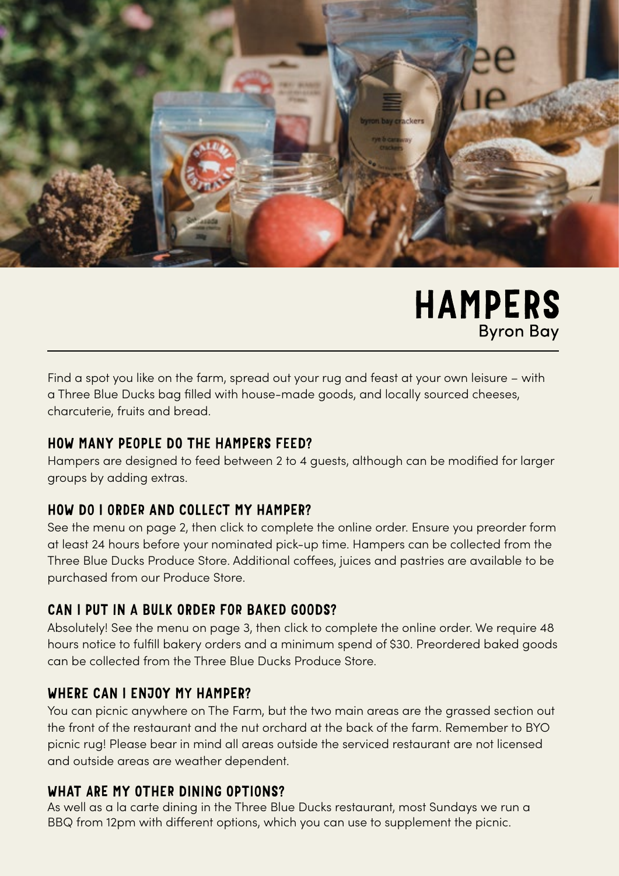

# **HAMPERS Byron Bay**

Find a spot you like on the farm, spread out your rug and feast at your own leisure – with a Three Blue Ducks bag filled with house-made goods, and locally sourced cheeses, charcuterie, fruits and bread.

### HOW MANY PEOPLE DO THE HAMPERS FEED?

Hampers are designed to feed between 2 to 4 guests, although can be modified for larger groups by adding extras.

### HOW DO I ORDER AND COLLECT MY HAMPER?

See the menu on page 2, then click to complete the online order. Ensure you preorder form at least 24 hours before your nominated pick-up time. Hampers can be collected from the Three Blue Ducks Produce Store. Additional coffees, juices and pastries are available to be purchased from our Produce Store.

#### CAN I PUT IN A BULK ORDER FOR BAKED GOODS?

Absolutely! See the menu on page 3, then click to complete the online order. We require 48 hours notice to fulfill bakery orders and a minimum spend of \$30. Preordered baked goods can be collected from the Three Blue Ducks Produce Store.

#### WHERE CAN I ENJOY MY HAMPER?

You can picnic anywhere on The Farm, but the two main areas are the grassed section out the front of the restaurant and the nut orchard at the back of the farm. Remember to BYO picnic rug! Please bear in mind all areas outside the serviced restaurant are not licensed and outside areas are weather dependent.

#### WHAT ARE MY OTHER DINING OPTIONS?

As well as a la carte dining in the Three Blue Ducks restaurant, most Sundays we run a BBQ from 12pm with different options, which you can use to supplement the picnic.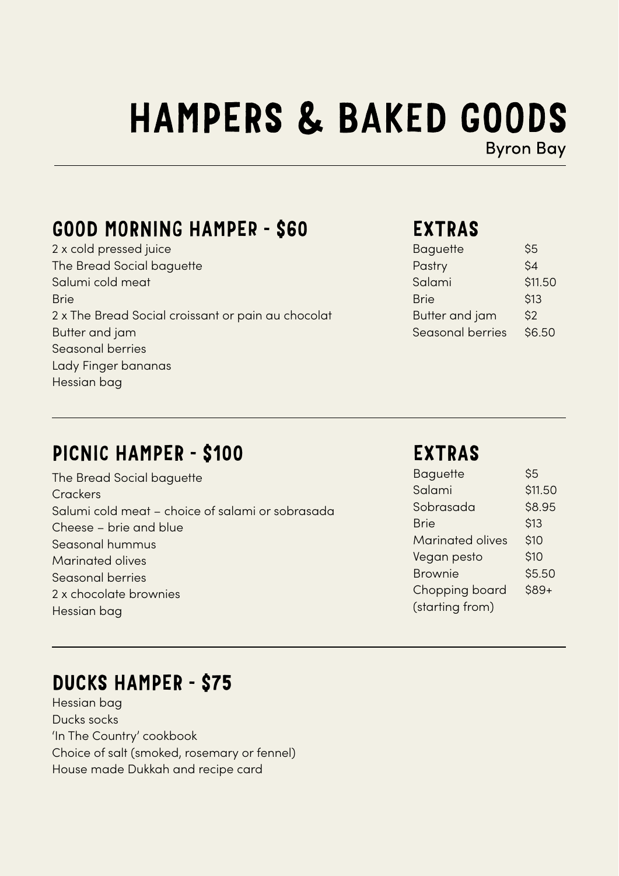# **HAMPERS & BAKED GOODS**

**Byron Bay** 

## GOOD MORNING HAMPER - \$60

2 x cold pressed juice The Bread Social baguette Salumi cold meat Brie 2 x The Bread Social croissant or pain au chocolat Butter and jam Seasonal berries Lady Finger bananas Hessian bag

## EXTRAS

| Baguette              | \$5     |
|-----------------------|---------|
| Pastry                | \$4     |
| Salami                | \$11.50 |
| <b>Brie</b>           | \$13    |
| <b>Butter and jam</b> | \$2     |
| Seasonal berries      | \$6.50  |

## PICNIC HAMPER - \$100

The Bread Social baguette **Crackers** Salumi cold meat – choice of salami or sobrasada Cheese – brie and blue Seasonal hummus Marinated olives Seasonal berries 2 x chocolate brownies Hessian bag

## EXTRAS

| <b>Baguette</b>         | \$5     |
|-------------------------|---------|
| Salami                  | \$11.50 |
| Sobrasada               | \$8.95  |
| <b>Brie</b>             | \$13    |
| <b>Marinated olives</b> | \$10    |
| Vegan pesto             | \$10    |
| <b>Brownie</b>          | \$5.50  |
| Chopping board          | $$89+$  |
| (starting from)         |         |

## DUCKS HAMPER - \$75

Hessian bag Ducks socks 'In The Country' cookbook Choice of salt (smoked, rosemary or fennel) House made Dukkah and recipe card